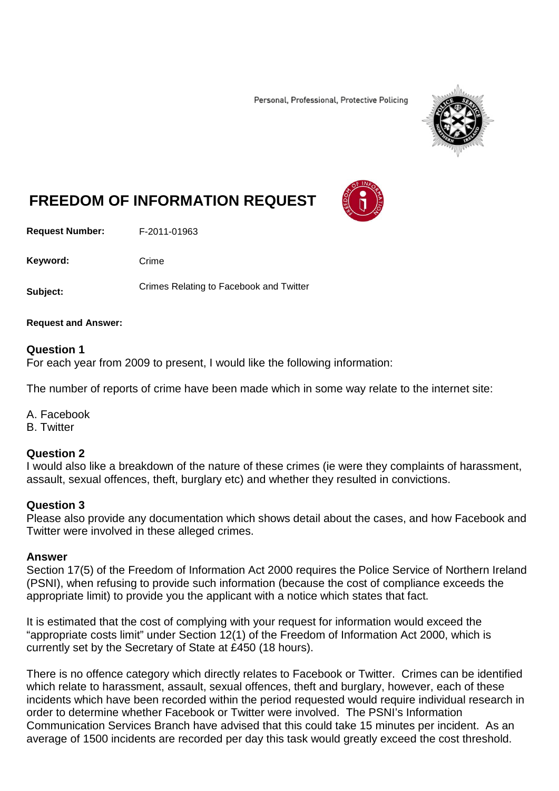Personal, Professional, Protective Policing



# **FREEDOM OF INFORMATION REQUEST**

**Request Number:** F-2011-01963

Keyword: Crime

**Subject:** Crimes Relating to Facebook and Twitter

**Request and Answer:**

### **Question 1**

For each year from 2009 to present, I would like the following information:

The number of reports of crime have been made which in some way relate to the internet site:

A. Facebook

B. Twitter

### **Question 2**

I would also like a breakdown of the nature of these crimes (ie were they complaints of harassment, assault, sexual offences, theft, burglary etc) and whether they resulted in convictions.

## **Question 3**

Please also provide any documentation which shows detail about the cases, and how Facebook and Twitter were involved in these alleged crimes.

### **Answer**

Section 17(5) of the Freedom of Information Act 2000 requires the Police Service of Northern Ireland (PSNI), when refusing to provide such information (because the cost of compliance exceeds the appropriate limit) to provide you the applicant with a notice which states that fact.

It is estimated that the cost of complying with your request for information would exceed the "appropriate costs limit" under Section 12(1) of the Freedom of Information Act 2000, which is currently set by the Secretary of State at £450 (18 hours).

There is no offence category which directly relates to Facebook or Twitter. Crimes can be identified which relate to harassment, assault, sexual offences, theft and burglary, however, each of these incidents which have been recorded within the period requested would require individual research in order to determine whether Facebook or Twitter were involved. The PSNI's Information Communication Services Branch have advised that this could take 15 minutes per incident. As an average of 1500 incidents are recorded per day this task would greatly exceed the cost threshold.